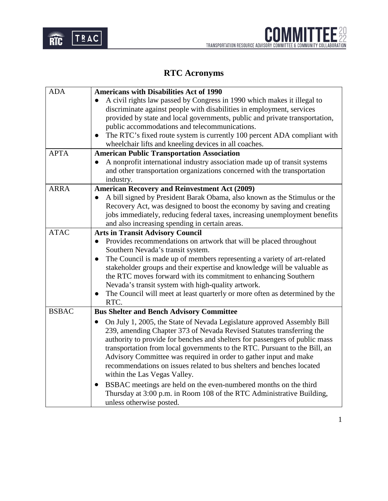

# **RTC Acronyms**

| <b>ADA</b>   | <b>Americans with Disabilities Act of 1990</b>                                           |
|--------------|------------------------------------------------------------------------------------------|
|              | A civil rights law passed by Congress in 1990 which makes it illegal to                  |
|              | discriminate against people with disabilities in employment, services                    |
|              | provided by state and local governments, public and private transportation,              |
|              | public accommodations and telecommunications.                                            |
|              | The RTC's fixed route system is currently 100 percent ADA compliant with                 |
|              | wheelchair lifts and kneeling devices in all coaches.                                    |
| <b>APTA</b>  | <b>American Public Transportation Association</b>                                        |
|              | A nonprofit international industry association made up of transit systems                |
|              | and other transportation organizations concerned with the transportation                 |
|              | industry.                                                                                |
| <b>ARRA</b>  | <b>American Recovery and Reinvestment Act (2009)</b>                                     |
|              | A bill signed by President Barak Obama, also known as the Stimulus or the                |
|              | Recovery Act, was designed to boost the economy by saving and creating                   |
|              | jobs immediately, reducing federal taxes, increasing unemployment benefits               |
|              | and also increasing spending in certain areas.                                           |
| <b>ATAC</b>  | <b>Arts in Transit Advisory Council</b>                                                  |
|              | Provides recommendations on artwork that will be placed throughout<br>$\bullet$          |
|              | Southern Nevada's transit system.                                                        |
|              | The Council is made up of members representing a variety of art-related                  |
|              | stakeholder groups and their expertise and knowledge will be valuable as                 |
|              | the RTC moves forward with its commitment to enhancing Southern                          |
|              | Nevada's transit system with high-quality artwork.                                       |
|              | The Council will meet at least quarterly or more often as determined by the<br>$\bullet$ |
|              | RTC.                                                                                     |
| <b>BSBAC</b> | <b>Bus Shelter and Bench Advisory Committee</b>                                          |
|              | On July 1, 2005, the State of Nevada Legislature approved Assembly Bill                  |
|              | 239, amending Chapter 373 of Nevada Revised Statutes transferring the                    |
|              | authority to provide for benches and shelters for passengers of public mass              |
|              | transportation from local governments to the RTC. Pursuant to the Bill, an               |
|              | Advisory Committee was required in order to gather input and make                        |
|              | recommendations on issues related to bus shelters and benches located                    |
|              | within the Las Vegas Valley.                                                             |
|              | BSBAC meetings are held on the even-numbered months on the third<br>$\bullet$            |
|              | Thursday at 3:00 p.m. in Room 108 of the RTC Administrative Building,                    |
|              | unless otherwise posted.                                                                 |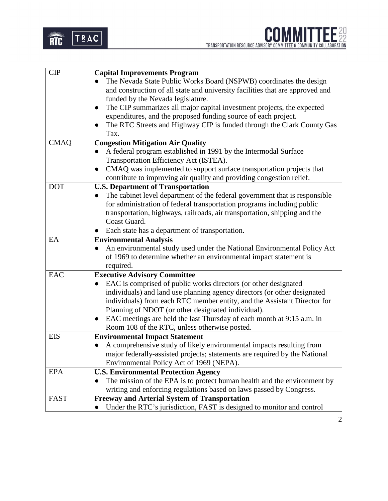

| <b>CIP</b>  | <b>Capital Improvements Program</b>                                                |
|-------------|------------------------------------------------------------------------------------|
|             | The Nevada State Public Works Board (NSPWB) coordinates the design                 |
|             | and construction of all state and university facilities that are approved and      |
|             | funded by the Nevada legislature.                                                  |
|             | The CIP summarizes all major capital investment projects, the expected             |
|             | expenditures, and the proposed funding source of each project.                     |
|             | The RTC Streets and Highway CIP is funded through the Clark County Gas             |
|             | Tax.                                                                               |
| <b>CMAQ</b> | <b>Congestion Mitigation Air Quality</b>                                           |
|             | A federal program established in 1991 by the Intermodal Surface                    |
|             | Transportation Efficiency Act (ISTEA).                                             |
|             | CMAQ was implemented to support surface transportation projects that<br>$\bullet$  |
|             | contribute to improving air quality and providing congestion relief.               |
| <b>DOT</b>  | <b>U.S. Department of Transportation</b>                                           |
|             | The cabinet level department of the federal government that is responsible         |
|             | for administration of federal transportation programs including public             |
|             | transportation, highways, railroads, air transportation, shipping and the          |
|             | Coast Guard.                                                                       |
|             | Each state has a department of transportation.                                     |
| EA          | <b>Environmental Analysis</b>                                                      |
|             | An environmental study used under the National Environmental Policy Act            |
|             | of 1969 to determine whether an environmental impact statement is                  |
|             | required.                                                                          |
| <b>EAC</b>  | <b>Executive Advisory Committee</b>                                                |
|             | EAC is comprised of public works directors (or other designated                    |
|             | individuals) and land use planning agency directors (or other designated           |
|             | individuals) from each RTC member entity, and the Assistant Director for           |
|             | Planning of NDOT (or other designated individual).                                 |
|             | EAC meetings are held the last Thursday of each month at 9:15 a.m. in<br>$\bullet$ |
|             | Room 108 of the RTC, unless otherwise posted.                                      |
| <b>EIS</b>  | <b>Environmental Impact Statement</b>                                              |
|             | A comprehensive study of likely environmental impacts resulting from               |
|             | major federally-assisted projects; statements are required by the National         |
|             | Environmental Policy Act of 1969 (NEPA).                                           |
| <b>EPA</b>  | <b>U.S. Environmental Protection Agency</b>                                        |
|             | The mission of the EPA is to protect human health and the environment by           |
|             | writing and enforcing regulations based on laws passed by Congress.                |
| FAST        | <b>Freeway and Arterial System of Transportation</b>                               |
|             | Under the RTC's jurisdiction, FAST is designed to monitor and control              |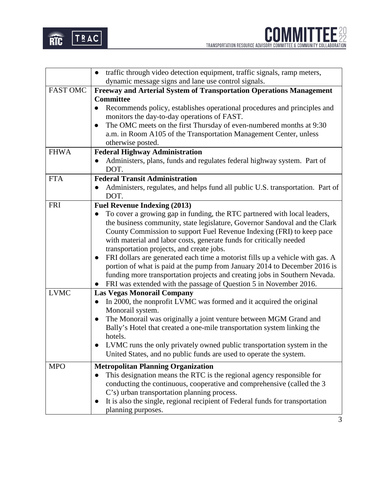

|                 | traffic through video detection equipment, traffic signals, ramp meters,<br>$\bullet$      |
|-----------------|--------------------------------------------------------------------------------------------|
|                 | dynamic message signs and lane use control signals.                                        |
| <b>FAST OMC</b> | Freeway and Arterial System of Transportation Operations Management                        |
|                 | <b>Committee</b>                                                                           |
|                 | Recommends policy, establishes operational procedures and principles and                   |
|                 | monitors the day-to-day operations of FAST.                                                |
|                 | The OMC meets on the first Thursday of even-numbered months at 9:30                        |
|                 | a.m. in Room A105 of the Transportation Management Center, unless                          |
|                 | otherwise posted.                                                                          |
| <b>FHWA</b>     | <b>Federal Highway Administration</b>                                                      |
|                 | Administers, plans, funds and regulates federal highway system. Part of                    |
|                 | DOT.                                                                                       |
| <b>FTA</b>      | <b>Federal Transit Administration</b>                                                      |
|                 | Administers, regulates, and helps fund all public U.S. transportation. Part of             |
|                 | DOT.                                                                                       |
| <b>FRI</b>      | <b>Fuel Revenue Indexing (2013)</b>                                                        |
|                 | To cover a growing gap in funding, the RTC partnered with local leaders,                   |
|                 | the business community, state legislature, Governor Sandoval and the Clark                 |
|                 | County Commission to support Fuel Revenue Indexing (FRI) to keep pace                      |
|                 | with material and labor costs, generate funds for critically needed                        |
|                 | transportation projects, and create jobs.                                                  |
|                 | FRI dollars are generated each time a motorist fills up a vehicle with gas. A<br>$\bullet$ |
|                 | portion of what is paid at the pump from January 2014 to December 2016 is                  |
|                 | funding more transportation projects and creating jobs in Southern Nevada.                 |
|                 | FRI was extended with the passage of Question 5 in November 2016.                          |
| <b>LVMC</b>     | <b>Las Vegas Monorail Company</b>                                                          |
|                 | In 2000, the nonprofit LVMC was formed and it acquired the original                        |
|                 | Monorail system.                                                                           |
|                 | The Monorail was originally a joint venture between MGM Grand and<br>$\bullet$             |
|                 | Bally's Hotel that created a one-mile transportation system linking the                    |
|                 | hotels.                                                                                    |
|                 | LVMC runs the only privately owned public transportation system in the                     |
|                 | United States, and no public funds are used to operate the system.                         |
| <b>MPO</b>      | <b>Metropolitan Planning Organization</b>                                                  |
|                 | This designation means the RTC is the regional agency responsible for                      |
|                 | conducting the continuous, cooperative and comprehensive (called the 3                     |
|                 | C's) urban transportation planning process.                                                |
|                 | It is also the single, regional recipient of Federal funds for transportation              |
|                 | planning purposes.                                                                         |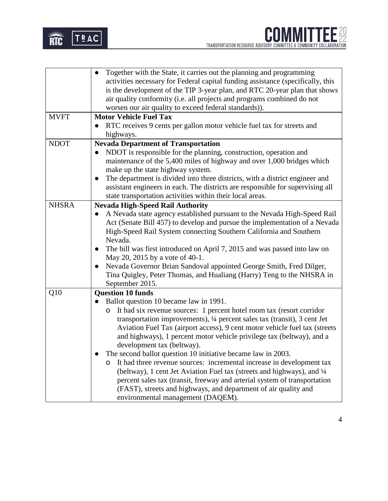

|              | Together with the State, it carries out the planning and programming             |
|--------------|----------------------------------------------------------------------------------|
|              | activities necessary for Federal capital funding assistance (specifically, this  |
|              | is the development of the TIP 3-year plan, and RTC 20-year plan that shows       |
|              | air quality conformity (i.e. all projects and programs combined do not           |
|              | worsen our air quality to exceed federal standards)).                            |
| <b>MVFT</b>  | <b>Motor Vehicle Fuel Tax</b>                                                    |
|              | RTC receives 9 cents per gallon motor vehicle fuel tax for streets and           |
|              | highways.                                                                        |
| <b>NDOT</b>  | <b>Nevada Department of Transportation</b>                                       |
|              | NDOT is responsible for the planning, construction, operation and                |
|              | maintenance of the 5,400 miles of highway and over 1,000 bridges which           |
|              | make up the state highway system.                                                |
|              | The department is divided into three districts, with a district engineer and     |
|              | assistant engineers in each. The districts are responsible for supervising all   |
|              | state transportation activities within their local areas.                        |
| <b>NHSRA</b> | <b>Nevada High-Speed Rail Authority</b>                                          |
|              | A Nevada state agency established pursuant to the Nevada High-Speed Rail         |
|              | Act (Senate Bill 457) to develop and pursue the implementation of a Nevada       |
|              | High-Speed Rail System connecting Southern California and Southern               |
|              | Nevada.                                                                          |
|              | The bill was first introduced on April 7, 2015 and was passed into law on        |
|              | May 20, 2015 by a vote of 40-1.                                                  |
|              | Nevada Governor Brian Sandoval appointed George Smith, Fred Dilger,              |
|              | Tina Quigley, Peter Thomas, and Hualiang (Harry) Teng to the NHSRA in            |
|              | September 2015.                                                                  |
| Q10          | <b>Question 10 funds</b>                                                         |
|              | Ballot question 10 became law in 1991.                                           |
|              | It had six revenue sources: 1 percent hotel room tax (resort corridor<br>$\circ$ |
|              | transportation improvements), 1/4 percent sales tax (transit), 3 cent Jet        |
|              | Aviation Fuel Tax (airport access), 9 cent motor vehicle fuel tax (streets       |
|              | and highways), 1 percent motor vehicle privilege tax (beltway), and a            |
|              | development tax (beltway).                                                       |
|              | The second ballot question 10 initiative became law in 2003.                     |
|              | It had three revenue sources: incremental increase in development tax<br>O       |
|              | (beltway), 1 cent Jet Aviation Fuel tax (streets and highways), and 1/4          |
|              | percent sales tax (transit, freeway and arterial system of transportation        |
|              | (FAST), streets and highways, and department of air quality and                  |
|              | environmental management (DAQEM).                                                |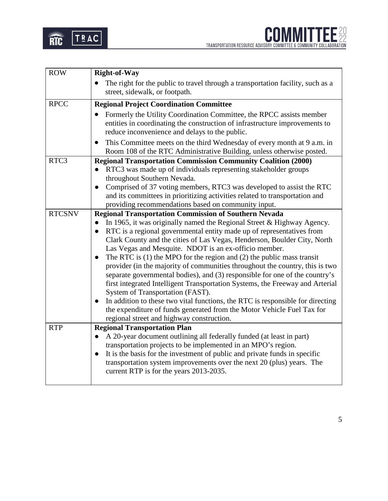

| <b>ROW</b>    | <b>Right-of-Way</b>                                                                                                                                                                                                                                                                                                                                                                                                                                                                                                                                                                                                                                                                                                                                                                                                                                                                                                                                                                |
|---------------|------------------------------------------------------------------------------------------------------------------------------------------------------------------------------------------------------------------------------------------------------------------------------------------------------------------------------------------------------------------------------------------------------------------------------------------------------------------------------------------------------------------------------------------------------------------------------------------------------------------------------------------------------------------------------------------------------------------------------------------------------------------------------------------------------------------------------------------------------------------------------------------------------------------------------------------------------------------------------------|
|               | The right for the public to travel through a transportation facility, such as a<br>street, sidewalk, or footpath.                                                                                                                                                                                                                                                                                                                                                                                                                                                                                                                                                                                                                                                                                                                                                                                                                                                                  |
| <b>RPCC</b>   | <b>Regional Project Coordination Committee</b>                                                                                                                                                                                                                                                                                                                                                                                                                                                                                                                                                                                                                                                                                                                                                                                                                                                                                                                                     |
|               | Formerly the Utility Coordination Committee, the RPCC assists member<br>entities in coordinating the construction of infrastructure improvements to<br>reduce inconvenience and delays to the public.                                                                                                                                                                                                                                                                                                                                                                                                                                                                                                                                                                                                                                                                                                                                                                              |
|               | This Committee meets on the third Wednesday of every month at 9 a.m. in<br>$\bullet$<br>Room 108 of the RTC Administrative Building, unless otherwise posted.                                                                                                                                                                                                                                                                                                                                                                                                                                                                                                                                                                                                                                                                                                                                                                                                                      |
| RTC3          | <b>Regional Transportation Commission Community Coalition (2000)</b><br>RTC3 was made up of individuals representing stakeholder groups<br>throughout Southern Nevada.<br>Comprised of 37 voting members, RTC3 was developed to assist the RTC<br>$\bullet$<br>and its committees in prioritizing activities related to transportation and<br>providing recommendations based on community input.                                                                                                                                                                                                                                                                                                                                                                                                                                                                                                                                                                                  |
| <b>RTCSNV</b> | <b>Regional Transportation Commission of Southern Nevada</b><br>In 1965, it was originally named the Regional Street & Highway Agency.<br>$\bullet$<br>RTC is a regional governmental entity made up of representatives from<br>$\bullet$<br>Clark County and the cities of Las Vegas, Henderson, Boulder City, North<br>Las Vegas and Mesquite. NDOT is an ex-officio member.<br>The RTC is $(1)$ the MPO for the region and $(2)$ the public mass transit<br>$\bullet$<br>provider (in the majority of communities throughout the country, this is two<br>separate governmental bodies), and (3) responsible for one of the country's<br>first integrated Intelligent Transportation Systems, the Freeway and Arterial<br>System of Transportation (FAST).<br>In addition to these two vital functions, the RTC is responsible for directing<br>$\bullet$<br>the expenditure of funds generated from the Motor Vehicle Fuel Tax for<br>regional street and highway construction. |
| <b>RTP</b>    | <b>Regional Transportation Plan</b><br>A 20-year document outlining all federally funded (at least in part)<br>$\bullet$<br>transportation projects to be implemented in an MPO's region.<br>It is the basis for the investment of public and private funds in specific<br>$\bullet$<br>transportation system improvements over the next 20 (plus) years. The<br>current RTP is for the years 2013-2035.                                                                                                                                                                                                                                                                                                                                                                                                                                                                                                                                                                           |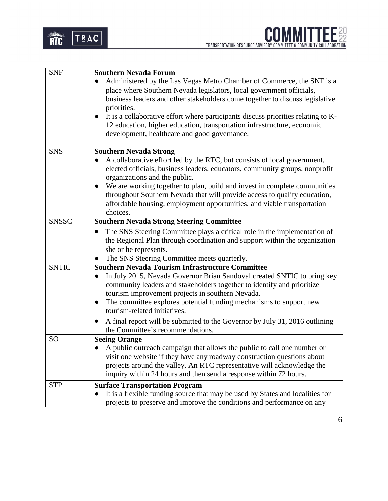

| <b>SNF</b>   | <b>Southern Nevada Forum</b>                                                               |
|--------------|--------------------------------------------------------------------------------------------|
|              | Administered by the Las Vegas Metro Chamber of Commerce, the SNF is a                      |
|              | place where Southern Nevada legislators, local government officials,                       |
|              | business leaders and other stakeholders come together to discuss legislative               |
|              | priorities.                                                                                |
|              | It is a collaborative effort where participants discuss priorities relating to K-          |
|              | 12 education, higher education, transportation infrastructure, economic                    |
|              | development, healthcare and good governance.                                               |
|              |                                                                                            |
| <b>SNS</b>   | <b>Southern Nevada Strong</b>                                                              |
|              | A collaborative effort led by the RTC, but consists of local government,                   |
|              | elected officials, business leaders, educators, community groups, nonprofit                |
|              | organizations and the public.                                                              |
|              | We are working together to plan, build and invest in complete communities                  |
|              | throughout Southern Nevada that will provide access to quality education,                  |
|              | affordable housing, employment opportunities, and viable transportation                    |
|              | choices.                                                                                   |
| <b>SNSSC</b> | <b>Southern Nevada Strong Steering Committee</b>                                           |
|              |                                                                                            |
|              | The SNS Steering Committee plays a critical role in the implementation of<br>$\bullet$     |
|              | the Regional Plan through coordination and support within the organization                 |
|              | she or he represents.                                                                      |
|              | The SNS Steering Committee meets quarterly.                                                |
| <b>SNTIC</b> | <b>Southern Nevada Tourism Infrastructure Committee</b>                                    |
|              | In July 2015, Nevada Governor Brian Sandoval created SNTIC to bring key<br>$\bullet$       |
|              | community leaders and stakeholders together to identify and prioritize                     |
|              | tourism improvement projects in southern Nevada.                                           |
|              | The committee explores potential funding mechanisms to support new                         |
|              | tourism-related initiatives.                                                               |
|              | A final report will be submitted to the Governor by July 31, 2016 outlining                |
|              | the Committee's recommendations.                                                           |
| SO           | <b>Seeing Orange</b>                                                                       |
|              | A public outreach campaign that allows the public to call one number or                    |
|              | visit one website if they have any roadway construction questions about                    |
|              | projects around the valley. An RTC representative will acknowledge the                     |
|              | inquiry within 24 hours and then send a response within 72 hours.                          |
| <b>STP</b>   | <b>Surface Transportation Program</b>                                                      |
|              | It is a flexible funding source that may be used by States and localities for<br>$\bullet$ |
|              | projects to preserve and improve the conditions and performance on any                     |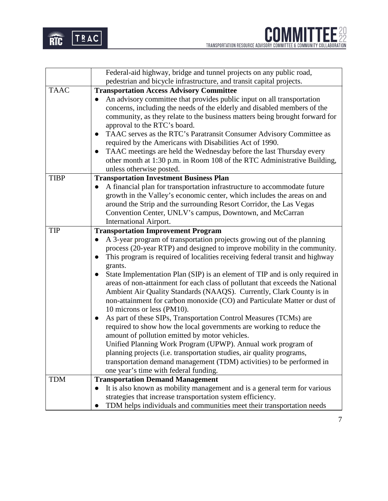

|             | Federal-aid highway, bridge and tunnel projects on any public road,                                                                               |
|-------------|---------------------------------------------------------------------------------------------------------------------------------------------------|
|             | pedestrian and bicycle infrastructure, and transit capital projects.                                                                              |
| <b>TAAC</b> | <b>Transportation Access Advisory Committee</b>                                                                                                   |
|             | An advisory committee that provides public input on all transportation                                                                            |
|             | concerns, including the needs of the elderly and disabled members of the                                                                          |
|             | community, as they relate to the business matters being brought forward for                                                                       |
|             | approval to the RTC's board.                                                                                                                      |
|             | TAAC serves as the RTC's Paratransit Consumer Advisory Committee as                                                                               |
|             | required by the Americans with Disabilities Act of 1990.                                                                                          |
|             | TAAC meetings are held the Wednesday before the last Thursday every                                                                               |
|             | other month at 1:30 p.m. in Room 108 of the RTC Administrative Building,                                                                          |
|             | unless otherwise posted.                                                                                                                          |
| <b>TIBP</b> | <b>Transportation Investment Business Plan</b>                                                                                                    |
|             | A financial plan for transportation infrastructure to accommodate future                                                                          |
|             | growth in the Valley's economic center, which includes the areas on and                                                                           |
|             | around the Strip and the surrounding Resort Corridor, the Las Vegas                                                                               |
|             | Convention Center, UNLV's campus, Downtown, and McCarran                                                                                          |
|             | <b>International Airport.</b>                                                                                                                     |
| <b>TIP</b>  | <b>Transportation Improvement Program</b>                                                                                                         |
|             | A 3-year program of transportation projects growing out of the planning                                                                           |
|             | process (20-year RTP) and designed to improve mobility in the community.                                                                          |
|             | This program is required of localities receiving federal transit and highway                                                                      |
|             | grants.                                                                                                                                           |
|             | State Implementation Plan (SIP) is an element of TIP and is only required in                                                                      |
|             | areas of non-attainment for each class of pollutant that exceeds the National                                                                     |
|             | Ambient Air Quality Standards (NAAQS). Currently, Clark County is in<br>non-attainment for carbon monoxide (CO) and Particulate Matter or dust of |
|             | 10 microns or less (PM10).                                                                                                                        |
|             | As part of these SIPs, Transportation Control Measures (TCMs) are                                                                                 |
|             | required to show how the local governments are working to reduce the                                                                              |
|             | amount of pollution emitted by motor vehicles.                                                                                                    |
|             | Unified Planning Work Program (UPWP). Annual work program of                                                                                      |
|             | planning projects (i.e. transportation studies, air quality programs,                                                                             |
|             | transportation demand management (TDM) activities) to be performed in                                                                             |
|             | one year's time with federal funding.                                                                                                             |
| <b>TDM</b>  | <b>Transportation Demand Management</b>                                                                                                           |
|             | It is also known as mobility management and is a general term for various                                                                         |
|             | strategies that increase transportation system efficiency.                                                                                        |
|             | TDM helps individuals and communities meet their transportation needs                                                                             |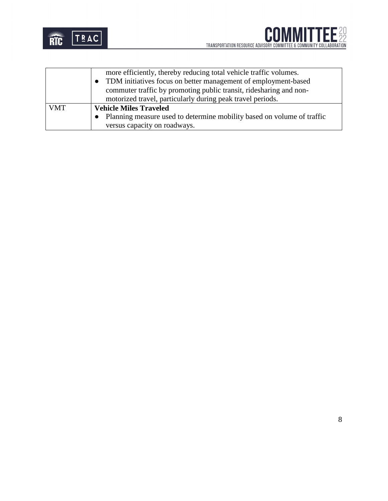



|            | more efficiently, thereby reducing total vehicle traffic volumes.      |
|------------|------------------------------------------------------------------------|
|            | TDM initiatives focus on better management of employment-based         |
|            | commuter traffic by promoting public transit, ridesharing and non-     |
|            | motorized travel, particularly during peak travel periods.             |
| <b>VMT</b> | <b>Vehicle Miles Traveled</b>                                          |
|            | Planning measure used to determine mobility based on volume of traffic |
|            | versus capacity on roadways.                                           |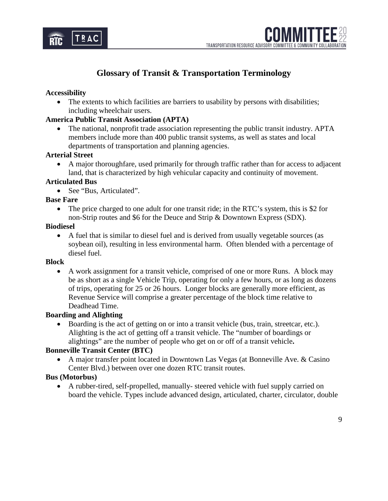

## **Glossary of Transit & Transportation Terminology**

## **Accessibility**

• The extents to which facilities are barriers to usability by persons with disabilities; including wheelchair users.

## **America Public Transit Association (APTA)**

• The national, nonprofit trade association representing the public transit industry. APTA members include more than 400 public transit systems, as well as states and local departments of transportation and planning agencies.

#### **Arterial Street**

• A major thoroughfare, used primarily for through traffic rather than for access to adjacent land, that is characterized by high vehicular capacity and continuity of movement.

#### **Articulated Bus**

• See "Bus, Articulated".

#### **Base Fare**

• The price charged to one adult for one transit ride; in the RTC's system, this is \$2 for non-Strip routes and \$6 for the Deuce and Strip & Downtown Express (SDX).

#### **Biodiesel**

• A fuel that is similar to diesel fuel and is derived from usually vegetable sources (as soybean oil), resulting in less environmental harm. Often blended with a percentage of diesel fuel.

#### **Block**

• A work assignment for a transit vehicle, comprised of one or more Runs. A block may be as short as a single Vehicle Trip, operating for only a few hours, or as long as dozens of trips, operating for 25 or 26 hours. Longer blocks are generally more efficient, as Revenue Service will comprise a greater percentage of the block time relative to Deadhead Time.

#### **Boarding and Alighting**

• Boarding is the act of getting on or into a transit vehicle (bus, train, streetcar, etc.). Alighting is the act of getting off a transit vehicle. The "number of boardings or alightings" are the number of people who get on or off of a transit vehicle**.**

#### **Bonneville Transit Center (BTC)**

• A major transfer point located in Downtown Las Vegas (at Bonneville Ave. & Casino Center Blvd.) between over one dozen RTC transit routes.

#### **Bus (Motorbus)**

• A rubber-tired, self-propelled, manually- steered vehicle with fuel supply carried on board the vehicle. Types include advanced design, articulated, charter, circulator, double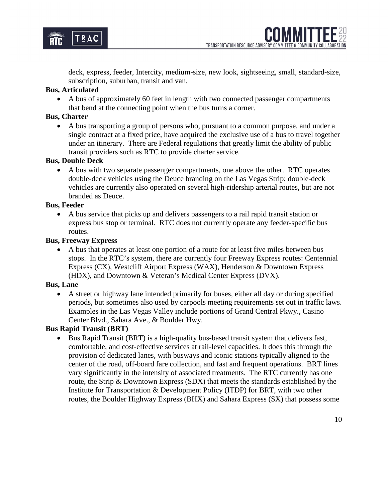

deck, express, feeder, Intercity, medium-size, new look, sightseeing, small, standard-size, subscription, suburban, transit and van.

## **Bus, Articulated**

• A bus of approximately 60 feet in length with two connected passenger compartments that bend at the connecting point when the bus turns a corner.

## **Bus, Charter**

• A bus transporting a group of persons who, pursuant to a common purpose, and under a single contract at a fixed price, have acquired the exclusive use of a bus to travel together under an itinerary. There are Federal regulations that greatly limit the ability of public transit providers such as RTC to provide charter service.

#### **Bus, Double Deck**

• A bus with two separate passenger compartments, one above the other. RTC operates double-deck vehicles using the Deuce branding on the Las Vegas Strip; double-deck vehicles are currently also operated on several high-ridership arterial routes, but are not branded as Deuce.

#### **Bus, Feeder**

• A bus service that picks up and delivers passengers to a rail rapid transit station or express bus stop or terminal. RTC does not currently operate any feeder-specific bus routes.

#### **Bus, Freeway Express**

• A bus that operates at least one portion of a route for at least five miles between bus stops. In the RTC's system, there are currently four Freeway Express routes: Centennial Express (CX), Westcliff Airport Express (WAX), Henderson & Downtown Express (HDX), and Downtown & Veteran's Medical Center Express (DVX).

## **Bus, Lane**

• A street or highway lane intended primarily for buses, either all day or during specified periods, but sometimes also used by carpools meeting requirements set out in traffic laws. Examples in the Las Vegas Valley include portions of Grand Central Pkwy., Casino Center Blvd., Sahara Ave., & Boulder Hwy.

## **Bus Rapid Transit (BRT)**

• Bus Rapid Transit (BRT) is a high-quality bus-based transit system that delivers fast, comfortable, and cost-effective services at rail-level capacities. It does this through the provision of dedicated lanes, with busways and iconic stations typically aligned to the center of the road, off-board fare collection, and fast and frequent operations. BRT lines vary significantly in the intensity of associated treatments. The RTC currently has one route, the Strip & Downtown Express (SDX) that meets the standards established by the Institute for Transportation & Development Policy (ITDP) for BRT, with two other routes, the Boulder Highway Express (BHX) and Sahara Express (SX) that possess some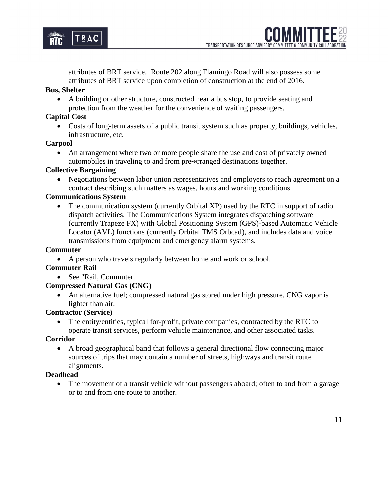

attributes of BRT service. Route 202 along Flamingo Road will also possess some attributes of BRT service upon completion of construction at the end of 2016.

## **Bus, Shelter**

• A building or other structure, constructed near a bus stop, to provide seating and protection from the weather for the convenience of waiting passengers.

## **Capital Cost**

• Costs of long-term assets of a public transit system such as property, buildings, vehicles, infrastructure, etc.

#### **Carpool**

An arrangement where two or more people share the use and cost of privately owned automobiles in traveling to and from pre-arranged destinations together.

## **Collective Bargaining**

• Negotiations between labor union representatives and employers to reach agreement on a contract describing such matters as wages, hours and working conditions.

## **Communications System**

The communication system (currently Orbital XP) used by the RTC in support of radio dispatch activities. The Communications System integrates dispatching software (currently Trapeze FX) with Global Positioning System (GPS)-based Automatic Vehicle Locator (AVL) functions (currently Orbital TMS Orbcad), and includes data and voice transmissions from equipment and emergency alarm systems.

#### **Commuter**

• A person who travels regularly between home and work or school.

## **Commuter Rail**

• See "Rail, Commuter.

## **Compressed Natural Gas (CNG)**

• An alternative fuel; compressed natural gas stored under high pressure. CNG vapor is lighter than air.

#### **Contractor (Service)**

The entity/entities, typical for-profit, private companies, contracted by the RTC to operate transit services, perform vehicle maintenance, and other associated tasks.

#### **Corridor**

• A broad geographical band that follows a general directional flow connecting major sources of trips that may contain a number of streets, highways and transit route alignments.

#### **Deadhead**

• The movement of a transit vehicle without passengers aboard; often to and from a garage or to and from one route to another.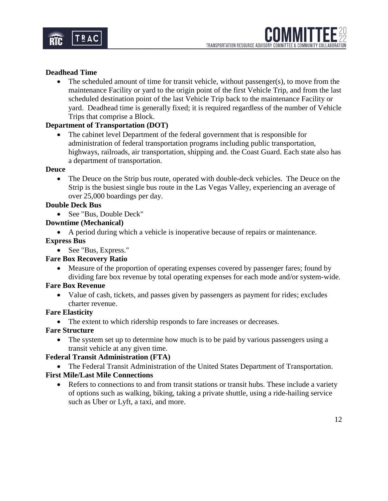

## **Deadhead Time**

• The scheduled amount of time for transit vehicle, without passenger(s), to move from the maintenance Facility or yard to the origin point of the first Vehicle Trip, and from the last scheduled destination point of the last Vehicle Trip back to the maintenance Facility or yard. Deadhead time is generally fixed; it is required regardless of the number of Vehicle Trips that comprise a Block.

## **Department of Transportation (DOT)**

• The cabinet level Department of the federal government that is responsible for administration of federal transportation programs including public transportation, highways, railroads, air transportation, shipping and. the Coast Guard. Each state also has a department of transportation.

#### **Deuce**

• The Deuce on the Strip bus route, operated with double-deck vehicles. The Deuce on the Strip is the busiest single bus route in the Las Vegas Valley, experiencing an average of over 25,000 boardings per day.

## **Double Deck Bus**

• See "Bus, Double Deck"

## **Downtime (Mechanical)**

• A period during which a vehicle is inoperative because of repairs or maintenance.

## **Express Bus**

• See "Bus, Express."

## **Fare Box Recovery Ratio**

• Measure of the proportion of operating expenses covered by passenger fares; found by dividing fare box revenue by total operating expenses for each mode and/or system-wide.

## **Fare Box Revenue**

• Value of cash, tickets, and passes given by passengers as payment for rides; excludes charter revenue.

## **Fare Elasticity**

• The extent to which ridership responds to fare increases or decreases.

## **Fare Structure**

• The system set up to determine how much is to be paid by various passengers using a transit vehicle at any given time.

## **Federal Transit Administration (FTA)**

• The Federal Transit Administration of the United States Department of Transportation.

## **First Mile/Last Mile Connections**

• Refers to connections to and from transit stations or transit hubs. These include a variety of options such as walking, biking, taking a private shuttle, using a ride-hailing service such as Uber or Lyft, a taxi, and more.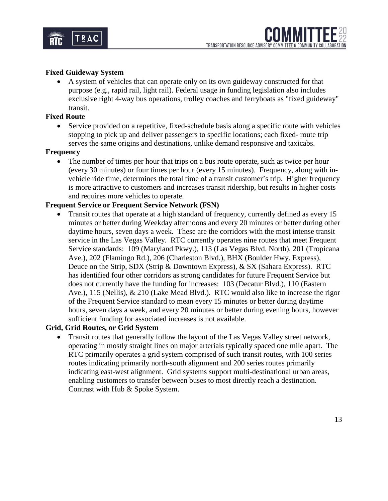

#### **Fixed Guideway System**

• A system of vehicles that can operate only on its own guideway constructed for that purpose (e.g., rapid rail, light rail). Federal usage in funding legislation also includes exclusive right 4-way bus operations, trolley coaches and ferryboats as "fixed guideway" transit.

#### **Fixed Route**

• Service provided on a repetitive, fixed-schedule basis along a specific route with vehicles stopping to pick up and deliver passengers to specific locations; each fixed- route trip serves the same origins and destinations, unlike demand responsive and taxicabs.

#### **Frequency**

The number of times per hour that trips on a bus route operate, such as twice per hour (every 30 minutes) or four times per hour (every 15 minutes). Frequency, along with invehicle ride time, determines the total time of a transit customer's trip. Higher frequency is more attractive to customers and increases transit ridership, but results in higher costs and requires more vehicles to operate.

#### **Frequent Service or Frequent Service Network (FSN)**

• Transit routes that operate at a high standard of frequency, currently defined as every 15 minutes or better during Weekday afternoons and every 20 minutes or better during other daytime hours, seven days a week. These are the corridors with the most intense transit service in the Las Vegas Valley. RTC currently operates nine routes that meet Frequent Service standards: 109 (Maryland Pkwy.), 113 (Las Vegas Blvd. North), 201 (Tropicana Ave.), 202 (Flamingo Rd.), 206 (Charleston Blvd.), BHX (Boulder Hwy. Express), Deuce on the Strip, SDX (Strip & Downtown Express), & SX (Sahara Express). RTC has identified four other corridors as strong candidates for future Frequent Service but does not currently have the funding for increases: 103 (Decatur Blvd.), 110 (Eastern Ave.), 115 (Nellis), & 210 (Lake Mead Blvd.). RTC would also like to increase the rigor of the Frequent Service standard to mean every 15 minutes or better during daytime hours, seven days a week, and every 20 minutes or better during evening hours, however sufficient funding for associated increases is not available.

#### **Grid, Grid Routes, or Grid System**

• Transit routes that generally follow the layout of the Las Vegas Valley street network, operating in mostly straight lines on major arterials typically spaced one mile apart. The RTC primarily operates a grid system comprised of such transit routes, with 100 series routes indicating primarily north-south alignment and 200 series routes primarily indicating east-west alignment. Grid systems support multi-destinational urban areas, enabling customers to transfer between buses to most directly reach a destination. Contrast with Hub & Spoke System.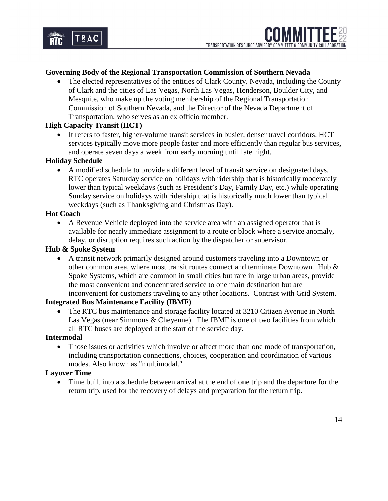

## **Governing Body of the Regional Transportation Commission of Southern Nevada**

• The elected representatives of the entities of Clark County, Nevada, including the County of Clark and the cities of Las Vegas, North Las Vegas, Henderson, Boulder City, and Mesquite, who make up the voting membership of the Regional Transportation Commission of Southern Nevada, and the Director of the Nevada Department of Transportation, who serves as an ex officio member.

## **High Capacity Transit (HCT)**

• It refers to faster, higher-volume transit services in busier, denser travel corridors. HCT services typically move more people faster and more efficiently than regular bus services, and operate seven days a week from early morning until late night.

#### **Holiday Schedule**

• A modified schedule to provide a different level of transit service on designated days. RTC operates Saturday service on holidays with ridership that is historically moderately lower than typical weekdays (such as President's Day, Family Day, etc.) while operating Sunday service on holidays with ridership that is historically much lower than typical weekdays (such as Thanksgiving and Christmas Day).

#### **Hot Coach**

• A Revenue Vehicle deployed into the service area with an assigned operator that is available for nearly immediate assignment to a route or block where a service anomaly, delay, or disruption requires such action by the dispatcher or supervisor.

#### **Hub & Spoke System**

• A transit network primarily designed around customers traveling into a Downtown or other common area, where most transit routes connect and terminate Downtown. Hub  $\&$ Spoke Systems, which are common in small cities but rare in large urban areas, provide the most convenient and concentrated service to one main destination but are inconvenient for customers traveling to any other locations. Contrast with Grid System.

## **Integrated Bus Maintenance Facility (IBMF)**

• The RTC bus maintenance and storage facility located at 3210 Citizen Avenue in North Las Vegas (near Simmons & Cheyenne). The IBMF is one of two facilities from which all RTC buses are deployed at the start of the service day.

## **Intermodal**

• Those issues or activities which involve or affect more than one mode of transportation, including transportation connections, choices, cooperation and coordination of various modes. Also known as "multimodal."

## **Layover Time**

• Time built into a schedule between arrival at the end of one trip and the departure for the return trip, used for the recovery of delays and preparation for the return trip.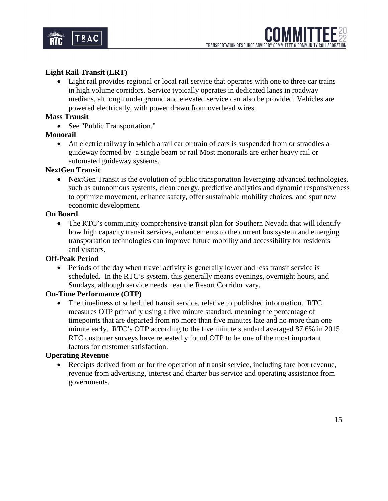

## **Light Rail Transit (LRT)**

• Light rail provides regional or local rail service that operates with one to three car trains in high volume corridors. Service typically operates in dedicated lanes in roadway medians, although underground and elevated service can also be provided. Vehicles are powered electrically, with power drawn from overhead wires.

#### **Mass Transit**

• See "Public Transportation."

## **Monorail**

• An electric railway in which a rail car or train of cars is suspended from or straddles a guideway formed by ·a single beam or rail Most monorails are either heavy rail or automated guideway systems.

#### **NextGen Transit**

• NextGen Transit is the evolution of public transportation leveraging advanced technologies, such as autonomous systems, clean energy, predictive analytics and dynamic responsiveness to optimize movement, enhance safety, offer sustainable mobility choices, and spur new economic development.

#### **On Board**

• The RTC's community comprehensive transit plan for Southern Nevada that will identify how high capacity transit services, enhancements to the current bus system and emerging transportation technologies can improve future mobility and accessibility for residents and visitors.

## **Off-Peak Period**

• Periods of the day when travel activity is generally lower and less transit service is scheduled. In the RTC's system, this generally means evenings, overnight hours, and Sundays, although service needs near the Resort Corridor vary.

## **On-Time Performance (OTP)**

• The timeliness of scheduled transit service, relative to published information. RTC measures OTP primarily using a five minute standard, meaning the percentage of timepoints that are departed from no more than five minutes late and no more than one minute early. RTC's OTP according to the five minute standard averaged 87.6% in 2015. RTC customer surveys have repeatedly found OTP to be one of the most important factors for customer satisfaction.

## **Operating Revenue**

Receipts derived from or for the operation of transit service, including fare box revenue, revenue from advertising, interest and charter bus service and operating assistance from governments.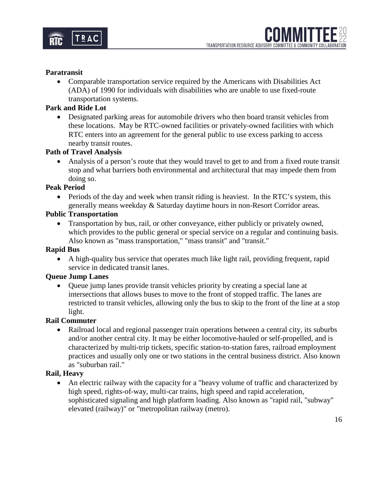

## **Paratransit**

• Comparable transportation service required by the Americans with Disabilities Act (ADA) of 1990 for individuals with disabilities who are unable to use fixed-route transportation systems.

#### **Park and Ride Lot**

• Designated parking areas for automobile drivers who then board transit vehicles from these locations. May be RTC-owned facilities or privately-owned facilities with which RTC enters into an agreement for the general public to use excess parking to access nearby transit routes.

#### **Path of Travel Analysis**

• Analysis of a person's route that they would travel to get to and from a fixed route transit stop and what barriers both environmental and architectural that may impede them from doing so.

#### **Peak Period**

• Periods of the day and week when transit riding is heaviest. In the RTC's system, this generally means weekday & Saturday daytime hours in non-Resort Corridor areas.

#### **Public Transportation**

• Transportation by bus, rail, or other conveyance, either publicly or privately owned, which provides to the public general or special service on a regular and continuing basis. Also known as "mass transportation," "mass transit" and "transit."

#### **Rapid Bus**

• A high-quality bus service that operates much like light rail, providing frequent, rapid service in dedicated transit lanes.

## **Queue Jump Lanes**

• Queue jump lanes provide transit vehicles priority by creating a special lane at intersections that allows buses to move to the front of stopped traffic. The lanes are restricted to transit vehicles, allowing only the bus to skip to the front of the line at a stop light.

#### **Rail Commuter**

• Railroad local and regional passenger train operations between a central city, its suburbs and/or another central city. It may be either locomotive-hauled or self-propelled, and is characterized by multi-trip tickets, specific station-to-station fares, railroad employment practices and usually only one or two stations in the central business district. Also known as "suburban rail."

## **Rail, Heavy**

• An electric railway with the capacity for a "heavy volume of traffic and characterized by high speed, rights-of-way, multi-car trains, high speed and rapid acceleration, sophisticated signaling and high platform loading. Also known as "rapid rail, "subway" elevated (railway)" or "metropolitan railway (metro).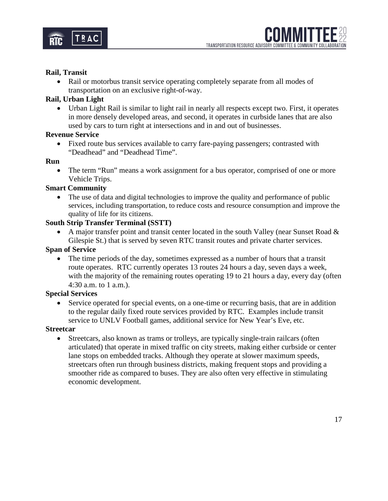

## **Rail, Transit**

• Rail or motorbus transit service operating completely separate from all modes of transportation on an exclusive right-of-way.

## **Rail, Urban Light**

• Urban Light Rail is similar to light rail in nearly all respects except two. First, it operates in more densely developed areas, and second, it operates in curbside lanes that are also used by cars to turn right at intersections and in and out of businesses.

#### **Revenue Service**

• Fixed route bus services available to carry fare-paying passengers; contrasted with "Deadhead" and "Deadhead Time".

#### **Run**

• The term "Run" means a work assignment for a bus operator, comprised of one or more Vehicle Trips.

#### **Smart Community**

• The use of data and digital technologies to improve the quality and performance of public services, including transportation, to reduce costs and resource consumption and improve the quality of life for its citizens.

#### **South Strip Transfer Terminal (SSTT)**

• A major transfer point and transit center located in the south Valley (near Sunset Road & Gilespie St.) that is served by seven RTC transit routes and private charter services.

#### **Span of Service**

• The time periods of the day, sometimes expressed as a number of hours that a transit route operates. RTC currently operates 13 routes 24 hours a day, seven days a week, with the majority of the remaining routes operating 19 to 21 hours a day, every day (often 4:30 a.m. to 1 a.m.).

#### **Special Services**

• Service operated for special events, on a one-time or recurring basis, that are in addition to the regular daily fixed route services provided by RTC. Examples include transit service to UNLV Football games, additional service for New Year's Eve, etc.

#### **Streetcar**

• Streetcars, also known as trams or trolleys, are typically single-train railcars (often articulated) that operate in mixed traffic on city streets, making either curbside or center lane stops on embedded tracks. Although they operate at slower maximum speeds, streetcars often run through business districts, making frequent stops and providing a smoother ride as compared to buses. They are also often very effective in stimulating economic development.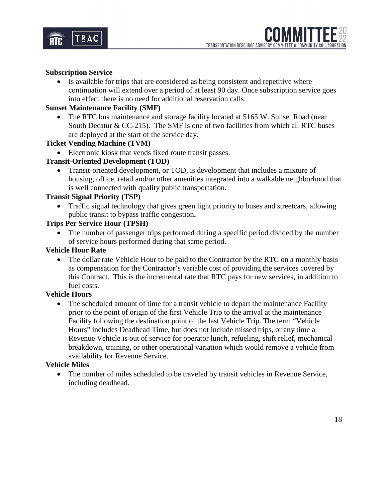

## **Subscription Service**

• Is available for trips that are considered as being consistent and repetitive where continuation will extend over a period of at least 90 day. Once subscription service goes into effect there is no need for additional reservation calls.

## **Sunset Maintenance Facility (SMF)**

• The RTC bus maintenance and storage facility located at 5165 W. Sunset Road (near South Decatur  $& CC-215$ . The SMF is one of two facilities from which all RTC buses are deployed at the start of the service day.

## **Ticket Vending Machine (TVM)**

• Electronic kiosk that vends fixed route transit passes.

#### **Transit-Oriented Development (TOD)**

• Transit-oriented development, or TOD, is development that includes a mixture of housing, office, retail and/or other amenities integrated into a walkable neighborhood that is well connected with quality public transportation.

#### **Transit Signal Priority (TSP)**

• Traffic signal technology that gives green light priority to buses and streetcars, allowing public transit to bypass traffic congestion**.**

## **Trips Per Service Hour (TPSH)**

• The number of passenger trips performed during a specific period divided by the number of service hours performed during that same period.

#### **Vehicle Hour Rate**

The dollar rate Vehicle Hour to be paid to the Contractor by the RTC on a monthly basis as compensation for the Contractor's variable cost of providing the services covered by this Contract. This is the incremental rate that RTC pays for new services, in addition to fuel costs.

#### **Vehicle Hours**

• The scheduled amount of time for a transit vehicle to depart the maintenance Facility prior to the point of origin of the first Vehicle Trip to the arrival at the maintenance Facility following the destination point of the last Vehicle Trip. The term "Vehicle Hours" includes Deadhead Time, but does not include missed trips, or any time a Revenue Vehicle is out of service for operator lunch, refueling, shift relief, mechanical breakdown, training, or other operational variation which would remove a vehicle from availability for Revenue Service.

#### **Vehicle Miles**

• The number of miles scheduled to be traveled by transit vehicles in Revenue Service, including deadhead.